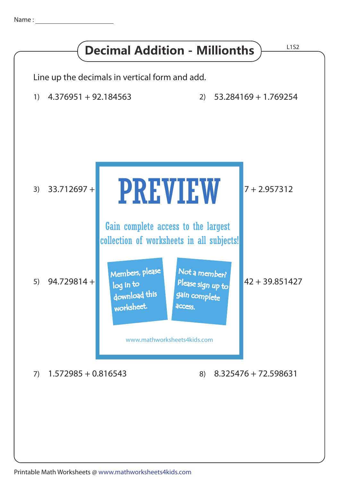